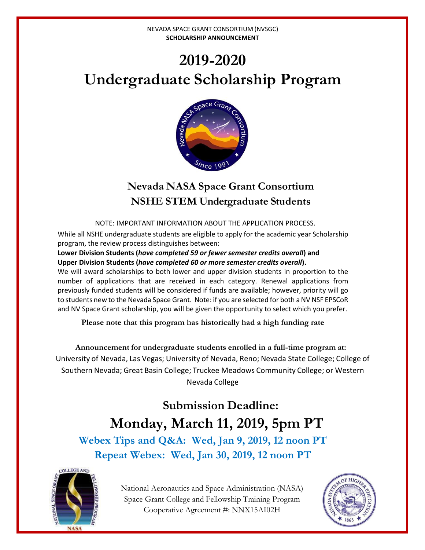# **2019-2020 Undergraduate Scholarship Program**



# **Nevada NASA Space Grant Consortium NSHE STEM Undergraduate Students**

NOTE: IMPORTANT INFORMATION ABOUT THE APPLICATION PROCESS.

While all NSHE undergraduate students are eligible to apply for the academic year Scholarship program, the review process distinguishes between:

**Lower Division Students (***have completed 59 or fewer semester credits overall***) and Upper Division Students (***have completed 60 or more semester credits overall***).** 

We will award scholarships to both lower and upper division students in proportion to the number of applications that are received in each category. Renewal applications from previously funded students will be considered if funds are available; however, priority will go to students new to the Nevada Space Grant. Note: if you are selected for both a NV NSF EPSCoR and NV Space Grant scholarship, you will be given the opportunity to select which you prefer.

**Please note that this program has historically had a high funding rate**

**Announcement for undergraduate students enrolled in a full-time program at:** University of Nevada, Las Vegas; University of Nevada, Reno; Nevada State College; College of Southern Nevada; Great Basin College; Truckee Meadows Community College; or Western Nevada College

**Submission Deadline: Monday, March 11, 2019, 5pm PT Webex Tips and Q&A: Wed, Jan 9, 2019, 12 noon PT**

**Repeat Webex: Wed, Jan 30, 2019, 12 noon PT**



National Aeronautics and Space Administration (NASA) Space Grant College and Fellowship Training Program Cooperative Agreement #: NNX15AI02H

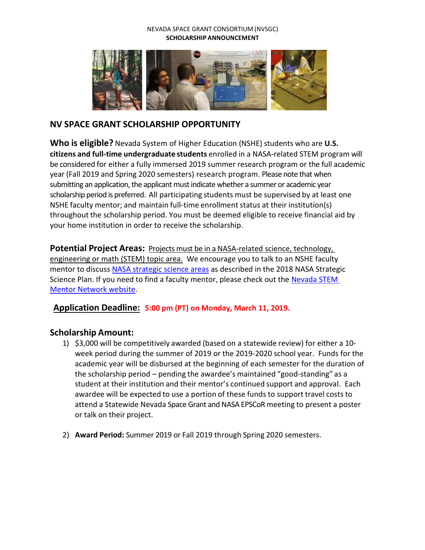

# **NV SPACE GRANT SCHOLARSHIP OPPORTUNITY**

**Who is eligible?** Nevada System of Higher Education (NSHE) students who are **U.S. citizens and full-time undergraduate students** enrolled in a NASA-related STEM program will be considered for either a fully immersed 2019 summer research program or the full academic year (Fall 2019 and Spring 2020 semesters) research program. Please note that when submitting an application, the applicant must indicate whether a summer or academic year scholarship period is preferred. All participating students must be supervised by at least one NSHE faculty mentor; and maintain full-time enrollment status at their institution(s) throughout the scholarship period. You must be deemed eligible to receive financial aid by your home institution in order to receive the scholarship.

**Potential Project Areas:** Projects must be in a NASA-related science, technology, engineering or math (STEM) topic area. We encourage you to talk to an NSHE faculty mentor to discuss [NASA strategic science areas](https://nasa.epscorspo.nevada.edu/wp-content/uploads/2018/03/nasa_2018_strategic_plan.pdf) as described in the 2018 NASA Strategic Science Plan. If you need to find a faculty mentor, please check out the [Nevada STEM](https://stemmentor.epscorspo.nevada.edu/)  [Mentor Network](https://stemmentor.epscorspo.nevada.edu/) website.

### **Application Deadline: 5:00 pm (PT) on Monday, March 11, 2019.**

### **Scholarship Amount:**

- 1) \$3,000 will be competitively awarded (based on a statewide review) for either a 10 week period during the summer of 2019 or the 2019-2020 school year. Funds for the academic year will be disbursed at the beginning of each semester for the duration of the scholarship period – pending the awardee's maintained "good-standing" as a student at their institution and their mentor's continued support and approval. Each awardee will be expected to use a portion of these funds to support travel costs to attend a Statewide Nevada Space Grant and NASA EPSCoR meeting to present a poster or talk on their project.
- 2) **Award Period:** Summer 2019 or Fall 2019 through Spring 2020 semesters.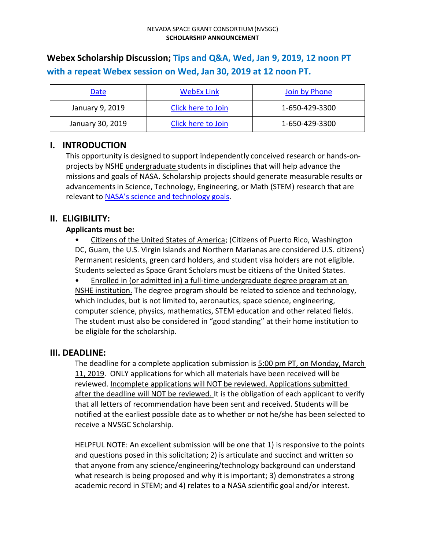# **Webex Scholarship Discussion; Tips and Q&A, Wed, Jan 9, 2019, 12 noon PT with a repeat Webex session on Wed, Jan 30, 2019 at 12 noon PT.**

| Date             | WebEx Link         | Join by Phone  |
|------------------|--------------------|----------------|
| January 9, 2019  | Click here to Join | 1-650-429-3300 |
| January 30, 2019 | Click here to Join | 1-650-429-3300 |

# **I. INTRODUCTION**

This opportunity is designed to support independently conceived research or hands-onprojects by NSHE undergraduate studentsin disciplines that will help advance the missions and goals of NASA. Scholarship projects should generate measurable results or advancements in Science, Technology, Engineering, or Math (STEM) research that are relevant to NASA's science [and technology](https://nasa.epscorspo.nevada.edu/wp-content/uploads/2018/03/nasa_2018_strategic_plan.pdf) goals.

# **II. ELIGIBILITY:**

#### **Applicants must be:**

• Citizens of the United States of America; (Citizens of Puerto Rico, Washington DC, Guam, the U.S. Virgin Islands and Northern Marianas are considered U.S. citizens) Permanent residents, green card holders, and student visa holders are not eligible. Students selected as Space Grant Scholars must be citizens of the United States.

• Enrolled in (or admitted in) a full-time undergraduate degree program at an NSHE institution. The degree program should be related to science and technology, which includes, but is not limited to, aeronautics, space science, engineering, computer science, physics, mathematics, STEM education and other related fields. The student must also be considered in "good standing" at their home institution to be eligible for the scholarship.

### **III. DEADLINE:**

The deadline for a complete application submission is 5:00 pm PT, on Monday, March 11, 2019. ONLY applications for which all materials have been received will be reviewed. Incomplete applications will NOT be reviewed. Applications submitted after the deadline will NOT be reviewed. It is the obligation of each applicant to verify that all letters of recommendation have been sent and received. Students will be notified at the earliest possible date as to whether or not he/she has been selected to receive a NVSGC Scholarship.

HELPFUL NOTE: An excellent submission will be one that 1) is responsive to the points and questions posed in this solicitation; 2) is articulate and succinct and written so that anyone from any science/engineering/technology background can understand what research is being proposed and why it is important; 3) demonstrates a strong academic record in STEM; and 4) relates to a NASA scientific goal and/or interest.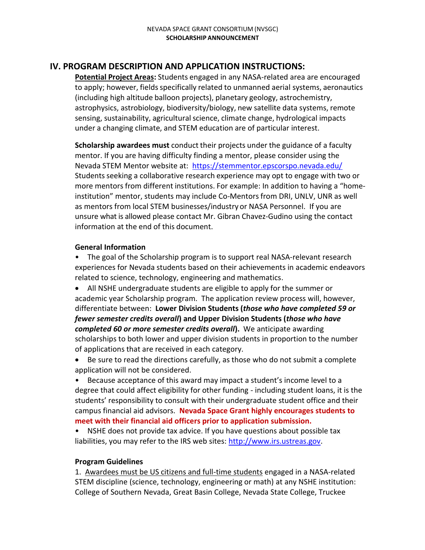# **IV. PROGRAM DESCRIPTION AND APPLICATION INSTRUCTIONS:**

**Potential Project Areas:** Students engaged in any NASA-related area are encouraged to apply; however, fields specifically related to unmanned aerial systems, aeronautics (including high altitude balloon projects), planetary geology, astrochemistry, astrophysics, astrobiology, biodiversity/biology, new satellite data systems, remote sensing, sustainability, agricultural science, climate change, hydrological impacts under a changing climate, and STEM education are of particular interest.

**Scholarship awardees must** conduct their projects under the guidance of a faculty mentor. If you are having difficulty finding a mentor, please consider using the Nevada STEM Mentor website at: <https://stemmentor.epscorspo.nevada.edu/> Students seeking a collaborative research experience may opt to engage with two or more mentors from different institutions. For example: In addition to having a "homeinstitution" mentor, students may include Co-Mentorsfrom DRI, UNLV, UNR as well as mentors from local STEM businesses/industry or NASA Personnel. If you are unsure what is allowed please contact Mr. Gibran Chavez-Gudino using the contact information at the end of this document.

#### **General Information**

• The goal of the Scholarship program is to support real NASA-relevant research experiences for Nevada students based on their achievements in academic endeavors related to science, technology, engineering and mathematics.

• All NSHE undergraduate students are eligible to apply for the summer or academic year Scholarship program. The application review process will, however, differentiate between: **Lower Division Students (***those who have completed 59 or fewer semester credits overall***) and Upper Division Students (***those who have completed 60 or more semester credits overall***).** We anticipate awarding scholarships to both lower and upper division students in proportion to the number of applications that are received in each category.

• Be sure to read the directions carefully, as those who do not submit a complete application will not be considered.

• Because acceptance of this award may impact a student's income level to a degree that could affect eligibility for other funding - including student loans, it is the students' responsibility to consult with their undergraduate student office and their campus financial aid advisors. **Nevada Space Grant highly encourages students to meet with their financial aid officers prior to application submission.**

• NSHE does not provide tax advice. If you have questions about possible tax liabilities, you may refer to the IRS web sites: [http://www.irs.ustreas.gov.](http://www.irs.ustreas.gov/)

#### **Program Guidelines**

1. Awardees must be US citizens and full-time students engaged in a NASA-related STEM discipline (science, technology, engineering or math) at any NSHE institution: College of Southern Nevada, Great Basin College, Nevada State College, Truckee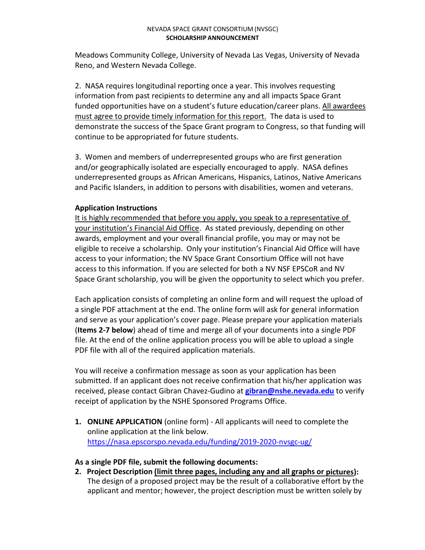Meadows Community College, University of Nevada Las Vegas, University of Nevada Reno, and Western Nevada College.

2. NASA requires longitudinal reporting once a year. This involves requesting information from past recipients to determine any and all impacts Space Grant funded opportunities have on a student's future education/career plans. All awardees must agree to provide timely information for this report. The data is used to demonstrate the success of the Space Grant program to Congress, so that funding will continue to be appropriated for future students.

3. Women and members of underrepresented groups who are first generation and/or geographically isolated are especially encouraged to apply. NASA defines underrepresented groups as African Americans, Hispanics, Latinos, Native Americans and Pacific Islanders, in addition to persons with disabilities, women and veterans.

#### **Application Instructions**

It is highly recommended that before you apply, you speak to a representative of your institution's Financial Aid Office. As stated previously, depending on other awards, employment and your overall financial profile, you may or may not be eligible to receive a scholarship. Only your institution's Financial Aid Office will have access to your information; the NV Space Grant Consortium Office will not have access to this information. If you are selected for both a NV NSF EPSCoR and NV Space Grant scholarship, you will be given the opportunity to select which you prefer.

Each application consists of completing an online form and will request the upload of a single PDF attachment at the end. The online form will ask for general information and serve as your application's cover page. Please prepare your application materials (**Items 2-7 below**) ahead of time and merge all of your documents into a single PDF file. At the end of the online application process you will be able to upload a single PDF file with all of the required application materials.

You will receive a confirmation message as soon as your application has been submitted. If an applicant does not receive confirmation that his/her application was received, please contact Gibran Chavez-Gudino at **[gibran@nshe.nevada.edu](mailto:gibran@nshe.nevada.edu)** to verify receipt of application by the NSHE Sponsored Programs Office.

**1. ONLINE APPLICATION** (online form) - All applicants will need to complete the online application at the link below. <https://nasa.epscorspo.nevada.edu/funding/2019-2020-nvsgc-ug/>

#### **As a single PDF file, submit the following documents:**

**2. Project Description (limit three pages, including any and all graphs or pictures):** The design of a proposed project may be the result of a collaborative effort by the applicant and mentor; however, the project description must be written solely by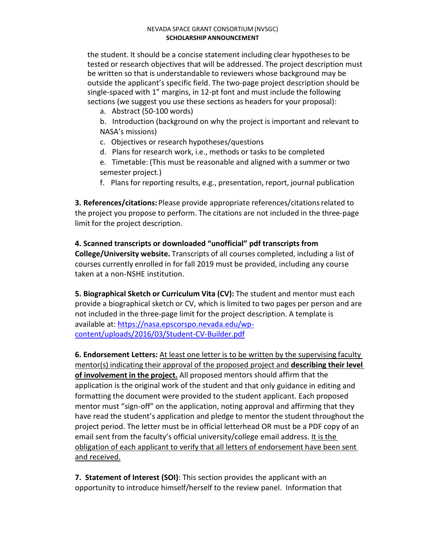the student. It should be a concise statement including clear hypothesesto be tested or research objectives that will be addressed. The project description must be written so that is understandable to reviewers whose background may be outside the applicant's specific field. The two-page project description should be single-spaced with 1" margins, in 12-pt font and must include the following sections (we suggest you use these sections as headers for your proposal):

a. Abstract (50-100 words)

b. Introduction (background on why the project is important and relevant to NASA's missions)

- c. Objectives or research hypotheses/questions
- d. Plans for research work, i.e., methods or tasks to be completed
- e. Timetable: (This must be reasonable and aligned with a summer or two semester project.)
- f. Plans for reporting results, e.g., presentation, report, journal publication

**3. References/citations:** Please provide appropriate references/citationsrelated to the project you propose to perform. The citations are not included in the three-page limit for the project description.

**4. Scanned transcripts or downloaded "unofficial" pdf transcripts from College/University website.** Transcripts of all courses completed, including a list of courses currently enrolled in for fall 2019 must be provided, including any course taken at a non-NSHE institution.

**5. Biographical Sketch or Curriculum Vita (CV):** The student and mentor must each provide a biographical sketch or CV, which is limited to two pages per person and are not included in the three-page limit for the project description. A template is available at: [https://nasa.epscorspo.nevada.edu/wp](https://nasa.epscorspo.nevada.edu/wp-content/uploads/2016/03/Student-CV-Builder.pdf)[content/uploads/2016/03/Student-CV-Builder.pdf](https://nasa.epscorspo.nevada.edu/wp-content/uploads/2016/03/Student-CV-Builder.pdf)

**6. Endorsement Letters:** At least one letter is to be written by the supervising faculty mentor(s) indicating their approval of the proposed project and **describing their level of involvement in the project.** All proposed mentors should affirm that the application is the original work of the student and that only guidance in editing and formatting the document were provided to the student applicant. Each proposed mentor must "sign-off" on the application, noting approval and affirming that they have read the student's application and pledge to mentor the student throughout the project period. The letter must be in official letterhead OR must be a PDF copy of an email sent from the faculty's official university/college email address. It is the obligation of each applicant to verify that all letters of endorsement have been sent and received.

**7. Statement of Interest (SOI)**: This section provides the applicant with an opportunity to introduce himself/herself to the review panel. Information that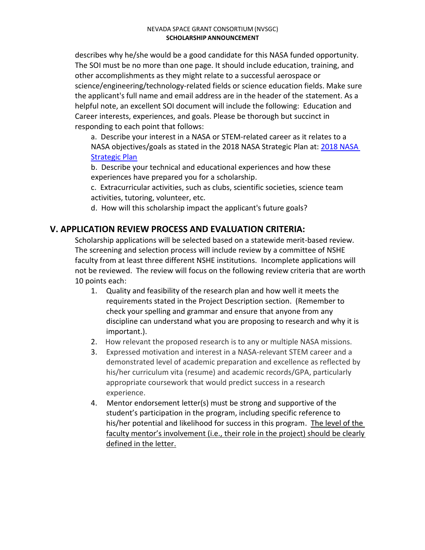describes why he/she would be a good candidate for this NASA funded opportunity. The SOI must be no more than one page. It should include education, training, and other accomplishments as they might relate to a successful aerospace or science/engineering/technology-related fields or science education fields. Make sure the applicant's full name and email address are in the header of the statement. As a helpful note, an excellent SOI document will include the following: Education and Career interests, experiences, and goals. Please be thorough but succinct in responding to each point that follows:

a. Describe your interest in a NASA or STEM-related career as it relates to a NASA objectives/goals as stated in the [2018 NASA](https://www.nasa.gov/sites/default/files/atoms/files/nasa_2018_strategic_plan.pdf) Strategic Plan at: 2018 NASA [Strategic Plan](https://www.nasa.gov/sites/default/files/atoms/files/nasa_2018_strategic_plan.pdf)

b. Describe your technical and educational experiences and how these experiences have prepared you for a scholarship.

c. Extracurricular activities, such as clubs, scientific societies, science team activities, tutoring, volunteer, etc.

d. How will this scholarship impact the applicant's future goals?

# **V. APPLICATION REVIEW PROCESS AND EVALUATION CRITERIA:**

Scholarship applications will be selected based on a statewide merit-based review. The screening and selection process will include review by a committee of NSHE faculty from at least three different NSHE institutions. Incomplete applications will not be reviewed. The review will focus on the following review criteria that are worth 10 points each:

- 1. Quality and feasibility of the research plan and how well it meets the requirements stated in the Project Description section. (Remember to check your spelling and grammar and ensure that anyone from any discipline can understand what you are proposing to research and why it is important.).
- 2. How relevant the proposed research is to any or multiple NASA missions.
- 3. Expressed motivation and interest in a NASA-relevant STEM career and a demonstrated level of academic preparation and excellence as reflected by his/her curriculum vita (resume) and academic records/GPA, particularly appropriate coursework that would predict success in a research experience.
- 4. Mentor endorsement letter(s) must be strong and supportive of the student's participation in the program, including specific reference to his/her potential and likelihood for success in this program. The level of the faculty mentor's involvement (i.e., their role in the project) should be clearly defined in the letter.